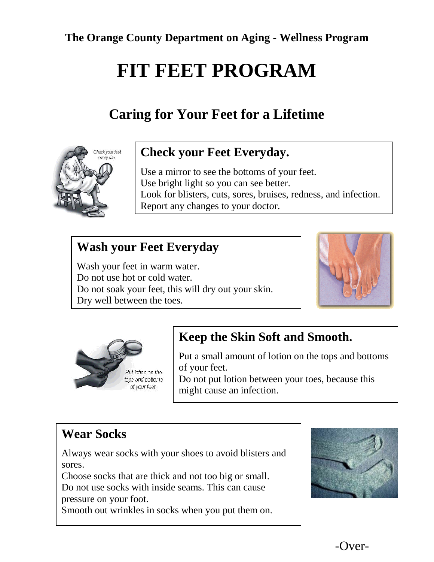**The Orange County Department on Aging - Wellness Program**

# **FIT FEET PROGRAM**

# **Caring for Your Feet for a Lifetime**



#### **Check your Feet Everyday.**

Use a mirror to see the bottoms of your feet. Use bright light so you can see better. Look for blisters, cuts, sores, bruises, redness, and infection. Report any changes to your doctor.

## **Wash your Feet Everyday**

Wash your feet in warm water. Do not use hot or cold water. Do not soak your feet, this will dry out your skin. Dry well between the toes.





## **Keep the Skin Soft and Smooth.**

Put a small amount of lotion on the tops and bottoms of your feet.

Do not put lotion between your toes, because this might cause an infection.

# **Wear Socks**

Always wear socks with your shoes to avoid blisters and sores.

Choose socks that are thick and not too big or small. Do not use socks with inside seams. This can cause pressure on your foot.

Smooth out wrinkles in socks when you put them on.